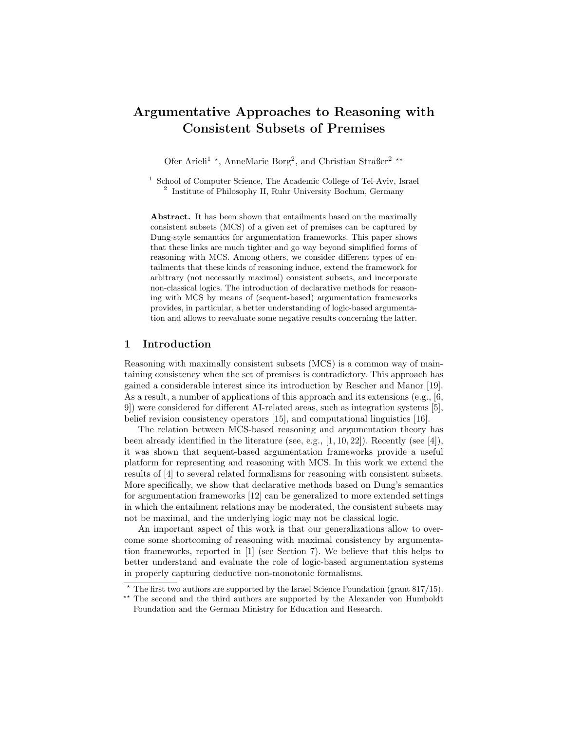# Argumentative Approaches to Reasoning with Consistent Subsets of Premises

Ofer Arieli<sup>1</sup><sup>\*</sup>, AnneMarie Borg<sup>2</sup>, and Christian Straßer<sup>2</sup><sup>\*\*</sup>

<sup>1</sup> School of Computer Science, The Academic College of Tel-Aviv, Israel <sup>2</sup> Institute of Philosophy II, Ruhr University Bochum, Germany

Abstract. It has been shown that entailments based on the maximally consistent subsets (MCS) of a given set of premises can be captured by Dung-style semantics for argumentation frameworks. This paper shows that these links are much tighter and go way beyond simplified forms of reasoning with MCS. Among others, we consider different types of entailments that these kinds of reasoning induce, extend the framework for arbitrary (not necessarily maximal) consistent subsets, and incorporate non-classical logics. The introduction of declarative methods for reasoning with MCS by means of (sequent-based) argumentation frameworks provides, in particular, a better understanding of logic-based argumentation and allows to reevaluate some negative results concerning the latter.

## 1 Introduction

Reasoning with maximally consistent subsets (MCS) is a common way of maintaining consistency when the set of premises is contradictory. This approach has gained a considerable interest since its introduction by Rescher and Manor [19]. As a result, a number of applications of this approach and its extensions (e.g., [6, 9]) were considered for different AI-related areas, such as integration systems [5], belief revision consistency operators [15], and computational linguistics [16].

The relation between MCS-based reasoning and argumentation theory has been already identified in the literature (see, e.g., [1, 10, 22]). Recently (see [4]), it was shown that sequent-based argumentation frameworks provide a useful platform for representing and reasoning with MCS. In this work we extend the results of [4] to several related formalisms for reasoning with consistent subsets. More specifically, we show that declarative methods based on Dung's semantics for argumentation frameworks [12] can be generalized to more extended settings in which the entailment relations may be moderated, the consistent subsets may not be maximal, and the underlying logic may not be classical logic.

An important aspect of this work is that our generalizations allow to overcome some shortcoming of reasoning with maximal consistency by argumentation frameworks, reported in [1] (see Section 7). We believe that this helps to better understand and evaluate the role of logic-based argumentation systems in properly capturing deductive non-monotonic formalisms.

 $*$  The first two authors are supported by the Israel Science Foundation (grant 817/15).

<sup>\*\*</sup> The second and the third authors are supported by the Alexander von Humboldt Foundation and the German Ministry for Education and Research.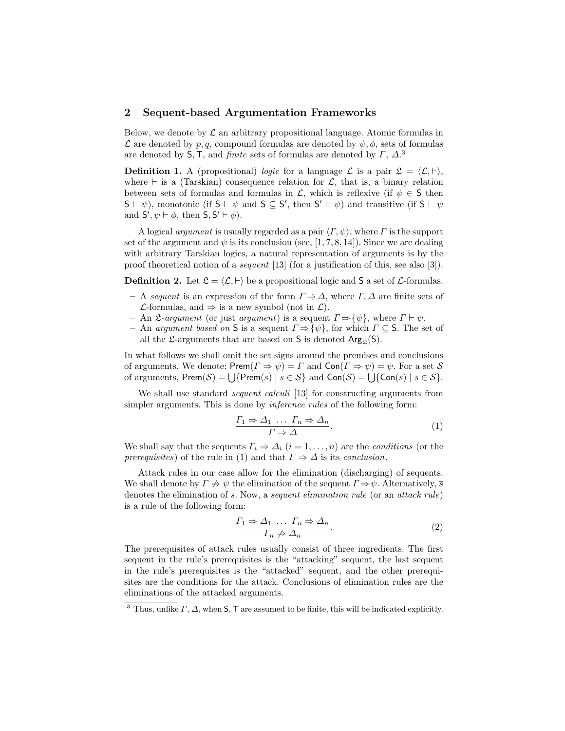#### 2 Sequent-based Argumentation Frameworks

Below, we denote by  $\mathcal L$  an arbitrary propositional language. Atomic formulas in  $\mathcal L$  are denoted by p, q, compound formulas are denoted by  $\psi$ ,  $\phi$ , sets of formulas are denoted by S, T, and *finite* sets of formulas are denoted by  $\Gamma$ ,  $\Delta$ .<sup>3</sup>

**Definition 1.** A (propositional) logic for a language  $\mathcal{L}$  is a pair  $\mathcal{L} = \langle \mathcal{L}, \vdash \rangle$ , where  $\vdash$  is a (Tarskian) consequence relation for  $\mathcal{L}$ , that is, a binary relation between sets of formulas and formulas in  $\mathcal{L}$ , which is reflexive (if  $\psi \in \mathsf{S}$  then  $S \vdash \psi$ ), monotonic (if  $S \vdash \psi$  and  $S \subseteq S'$ , then  $S' \vdash \psi$ ) and transitive (if  $S \vdash \psi$ and  $S', \psi \vdash \phi$ , then  $S, S' \vdash \phi$ ).

A logical *argument* is usually regarded as a pair  $\langle \Gamma, \psi \rangle$ , where Γ is the support set of the argument and  $\psi$  is its conclusion (see, [1, 7, 8, 14]). Since we are dealing with arbitrary Tarskian logics, a natural representation of arguments is by the proof theoretical notion of a sequent [13] (for a justification of this, see also [3]).

**Definition 2.** Let  $\mathcal{L} = \langle \mathcal{L}, \vdash \rangle$  be a propositional logic and S a set of  $\mathcal{L}$ -formulas.

- A sequent is an expression of the form  $\Gamma \Rightarrow \Delta$ , where  $\Gamma, \Delta$  are finite sets of *L*-formulas, and  $\Rightarrow$  is a new symbol (not in *L*).
- An L-argument (or just argument) is a sequent  $\Gamma \Rightarrow {\psi}$ , where  $\Gamma \vdash \psi$ .
- An argument based on S is a sequent  $\Gamma \Rightarrow {\psi}$ , for which  $\Gamma \subseteq S$ . The set of all the  $\mathfrak{L}$ -arguments that are based on S is denoted  $\text{Arg}_{\mathfrak{L}}(S)$ .

In what follows we shall omit the set signs around the premises and conclusions of arguments. We denote:  $\mathsf{Prem}(F \Rightarrow \psi) = \Gamma$  and  $\mathsf{Con}(\Gamma \Rightarrow \psi) = \psi$ . For a set S of arguments,  $\mathsf{Prem}(\mathcal{S}) = \bigcup \{ \mathsf{Prem}(s) \mid s \in \mathcal{S} \}$  and  $\mathsf{Con}(\mathcal{S}) = \bigcup \{ \mathsf{Con}(s) \mid s \in \mathcal{S} \}.$ 

We shall use standard *sequent calculi* [13] for constructing arguments from simpler arguments. This is done by *inference rules* of the following form:

$$
\frac{\Gamma_1 \Rightarrow \Delta_1 \dots \Gamma_n \Rightarrow \Delta_n}{\Gamma \Rightarrow \Delta}.
$$
\n(1)

We shall say that the sequents  $\Gamma_i \Rightarrow \Delta_i$   $(i = 1, \ldots, n)$  are the *conditions* (or the prerequisites) of the rule in (1) and that  $\Gamma \Rightarrow \Delta$  is its conclusion.

Attack rules in our case allow for the elimination (discharging) of sequents. We shall denote by  $\Gamma \neq \psi$  the elimination of the sequent  $\Gamma \Rightarrow \psi$ . Alternatively,  $\overline{s}$ denotes the elimination of s. Now, a sequent elimination rule (or an attack rule) is a rule of the following form:

$$
\frac{\Gamma_1 \Rightarrow \Delta_1 \dots \Gamma_n \Rightarrow \Delta_n}{\Gamma_n \neq \Delta_n}.
$$
\n(2)

The prerequisites of attack rules usually consist of three ingredients. The first sequent in the rule's prerequisites is the "attacking" sequent, the last sequent in the rule's prerequisites is the "attacked" sequent, and the other prerequisites are the conditions for the attack. Conclusions of elimination rules are the eliminations of the attacked arguments.

<sup>&</sup>lt;sup>3</sup> Thus, unlike  $\Gamma$ ,  $\Delta$ , when **S**, **T** are assumed to be finite, this will be indicated explicitly.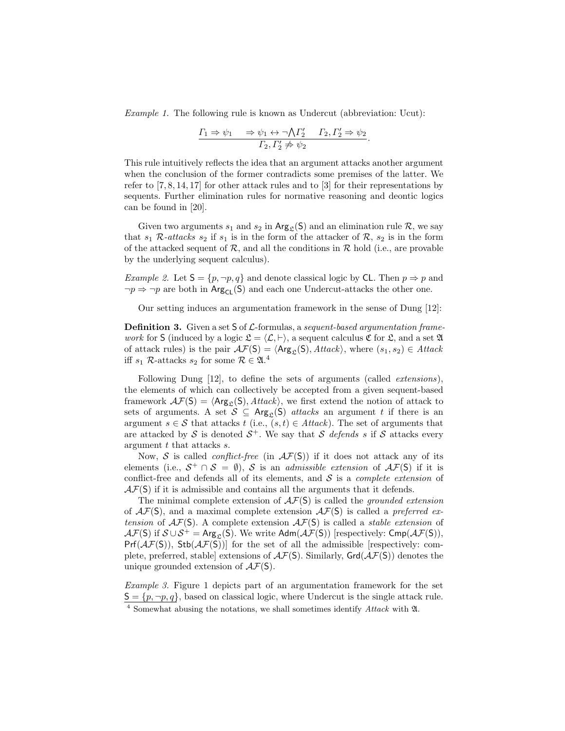Example 1. The following rule is known as Undercut (abbreviation: Ucut):

$$
\frac{\Gamma_1 \Rightarrow \psi_1 \quad \Rightarrow \psi_1 \leftrightarrow \neg \bigwedge \Gamma_2' \quad \Gamma_2, \Gamma_2' \Rightarrow \psi_2}{\Gamma_2, \Gamma_2' \not\Rightarrow \psi_2}.
$$

This rule intuitively reflects the idea that an argument attacks another argument when the conclusion of the former contradicts some premises of the latter. We refer to [7, 8, 14, 17] for other attack rules and to [3] for their representations by sequents. Further elimination rules for normative reasoning and deontic logics can be found in [20].

Given two arguments  $s_1$  and  $s_2$  in Arg<sub>c</sub>(S) and an elimination rule R, we say that  $s_1$  R-attacks  $s_2$  if  $s_1$  is in the form of the attacker of R,  $s_2$  is in the form of the attacked sequent of  $\mathcal{R}$ , and all the conditions in  $\mathcal{R}$  hold (i.e., are provable by the underlying sequent calculus).

*Example 2.* Let  $S = \{p, \neg p, q\}$  and denote classical logic by CL. Then  $p \Rightarrow p$  and  $\neg p \Rightarrow \neg p$  are both in Arg<sub>CL</sub>(S) and each one Undercut-attacks the other one.

Our setting induces an argumentation framework in the sense of Dung [12]:

**Definition 3.** Given a set  $S$  of  $\mathcal{L}$ -formulas, a sequent-based argumentation frame*work* for S (induced by a logic  $\mathfrak{L} = \langle \mathcal{L}, \vdash \rangle$ , a sequent calculus  $\mathfrak{C}$  for  $\mathfrak{L}$ , and a set  $\mathfrak{A}$ of attack rules) is the pair  $\mathcal{AF}(S) = \langle \text{Arg}_{\mathcal{L}}(S), \text{Attack} \rangle$ , where  $(s_1, s_2) \in \text{Attack}$ iff  $s_1$  R-attacks  $s_2$  for some  $\mathcal{R} \in \mathfrak{A}$ .<sup>4</sup>

Following Dung [12], to define the sets of arguments (called extensions), the elements of which can collectively be accepted from a given sequent-based framework  $\mathcal{AF}(S) = \langle \text{Arg}_{\mathcal{L}}(S), \text{Attack} \rangle$ , we first extend the notion of attack to sets of arguments. A set  $S \subseteq \text{Arg}_{\mathcal{S}}(S)$  attacks an argument t if there is an argument  $s \in \mathcal{S}$  that attacks  $t$  (i.e.,  $(s, t) \in Attack$ ). The set of arguments that are attacked by S is denoted  $S^+$ . We say that S defends s if S attacks every argument t that attacks s.

Now, S is called *conflict-free* (in  $\mathcal{AF}(S)$ ) if it does not attack any of its elements (i.e.,  $S^+ \cap S = \emptyset$ ), S is an *admissible extension* of  $\mathcal{AF}(S)$  if it is conflict-free and defends all of its elements, and  $S$  is a *complete extension* of  $\mathcal{AF}(S)$  if it is admissible and contains all the arguments that it defends.

The minimal complete extension of  $\mathcal{AF}(S)$  is called the *grounded extension* of  $\mathcal{AF}(S)$ , and a maximal complete extension  $\mathcal{AF}(S)$  is called a preferred extension of  $\mathcal{AF}(S)$ . A complete extension  $\mathcal{AF}(S)$  is called a *stable extension* of  $\mathcal{AF}(S)$  if  $\mathcal{S} \cup \mathcal{S}^+$  = Arg<sub>e</sub>(S). We write Adm( $\mathcal{AF}(S)$ ) [respectively: Cmp( $\mathcal{AF}(S)$ ),  $Pr(f(\mathcal{AF}(S)), Stb(\mathcal{AF}(S)))$  for the set of all the admissible [respectively: complete, preferred, stable extensions of  $\mathcal{AF}(S)$ . Similarly,  $\mathsf{Grd}(\mathcal{AF}(S))$  denotes the unique grounded extension of  $\mathcal{AF}(S)$ .

Example 3. Figure 1 depicts part of an argumentation framework for the set  $S = \{p, \neg p, q\}$ , based on classical logic, where Undercut is the single attack rule. <sup>4</sup> Somewhat abusing the notations, we shall sometimes identify Attack with A.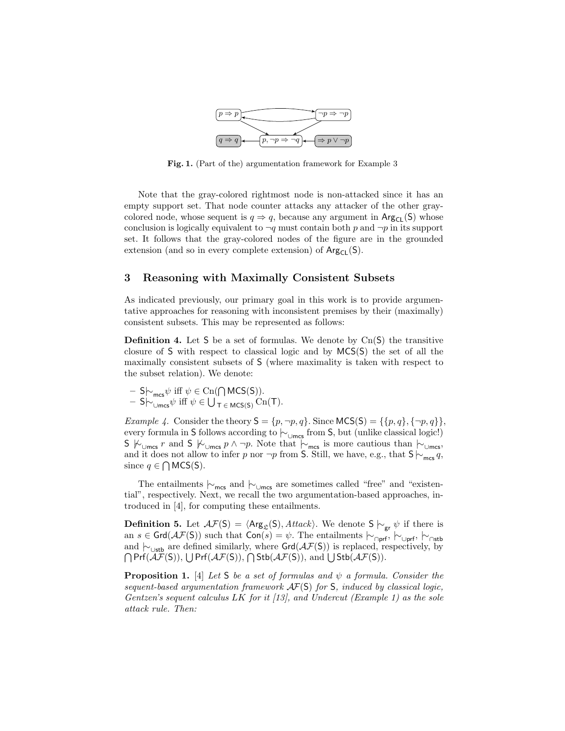

Fig. 1. (Part of the) argumentation framework for Example 3

Note that the gray-colored rightmost node is non-attacked since it has an empty support set. That node counter attacks any attacker of the other graycolored node, whose sequent is  $q \Rightarrow q$ , because any argument in Arg<sub>CL</sub>(S) whose conclusion is logically equivalent to  $\neg q$  must contain both p and  $\neg p$  in its support set. It follows that the gray-colored nodes of the figure are in the grounded extension (and so in every complete extension) of  $Arg_{CL}(S)$ .

#### 3 Reasoning with Maximally Consistent Subsets

As indicated previously, our primary goal in this work is to provide argumentative approaches for reasoning with inconsistent premises by their (maximally) consistent subsets. This may be represented as follows:

**Definition 4.** Let S be a set of formulas. We denote by  $C_n(S)$  the transitive closure of S with respect to classical logic and by MCS(S) the set of all the maximally consistent subsets of S (where maximality is taken with respect to the subset relation). We denote:

$$
- S\uparrow_{\mathsf{mcs}} \psi \text{ iff } \psi \in \mathrm{Cn}(\bigcap \mathsf{MCS}(S)).
$$
  

$$
- S\uparrow_{\cup \mathsf{mcs}} \psi \text{ iff } \psi \in \bigcup_{T \in \mathsf{MCS}(S)} \mathrm{Cn}(T).
$$

Example 4. Consider the theory  $S = \{p, \neg p, q\}$ . Since  $MCS(S) = \{\{p, q\}, \{\neg p, q\}\}\,$ every formula in S follows according to  $\vdash_{\cup \sf{mcs}}$  from S, but (unlike classical logic!) S  $\kappa$ <sub>∪mcs</sub> r and S  $\kappa$ <sub>∪mcs</sub> p ∧ ¬p. Note that  $\sim$ <sub>mcs</sub> is more cautious than  $\sim$ <sub>∪mcs</sub>, and it does not allow to infer p nor  $\neg p$  from S. Still, we have, e.g., that  $S \sim_{\text{mcs}} q$ , since  $q \in \bigcap \text{MCS}(S)$ .

The entailments  $\vdash_{\mathsf{mcs}}$  and  $\vdash_{\mathsf{Umes}}$  are sometimes called "free" and "existential", respectively. Next, we recall the two argumentation-based approaches, introduced in [4], for computing these entailments.

**Definition 5.** Let  $\mathcal{AF}(S) = \langle \text{Arg}_{\mathcal{L}}(S), \text{Attack} \rangle$ . We denote  $S \vdash_{gr} \psi$  if there is an s ∈ Grd( $\mathcal{AF}(S)$ ) such that Con(s) =  $\psi$ . The entailments  $\vdash_{\Box \mathsf{prf}}, \vdash_{\Box \mathsf{prf}}, \vdash_{\Box \mathsf{stb}}$ and  $\vdash_{\cup$ stb are defined similarly, where Grd( $\mathcal{AF}(S)$ ) is replaced, respectively, by  $\bigcap$  Prf( $\mathcal{AF}(S)$ ),  $\bigcup$  Prf( $\mathcal{AF}(S)$ ),  $\bigcap$  Stb( $\mathcal{AF}(S)$ ), and  $\bigcup$  Stb( $\mathcal{AF}(S)$ ).

**Proposition 1.** [4] Let S be a set of formulas and  $\psi$  a formula. Consider the sequent-based argumentation framework  $\mathcal{A}F(S)$  for S, induced by classical logic, Gentzen's sequent calculus LK for it  $[13]$ , and Undercut (Example 1) as the sole attack rule. Then: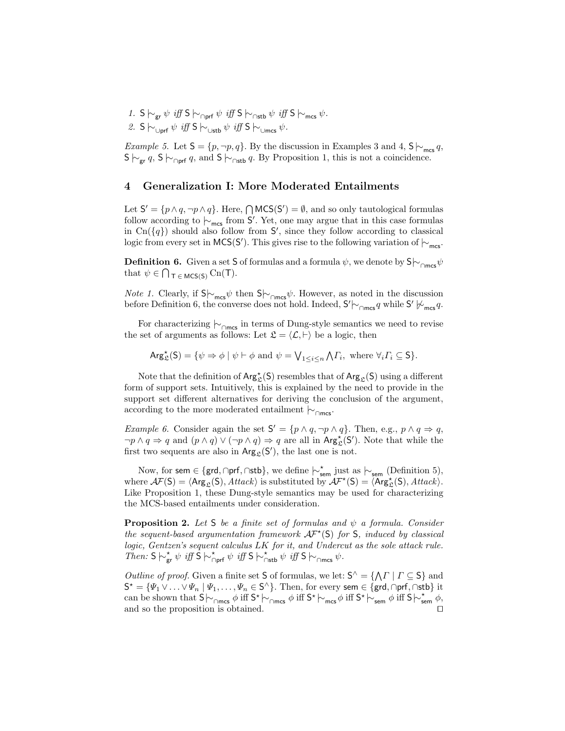1. S  $\vdash_{gr} \psi$  iff S  $\vdash_{\cap prf} \psi$  iff S  $\vdash_{\cap stb} \psi$  iff S  $\vdash_{\mathsf{mcs}} \psi$ . 2. S  $\sim$ <sub>∪prf</sub>  $\psi$  *iff* S  $\sim$ <sub>∪stb</sub>  $\psi$  *iff* S  $\sim$ <sub>∪mcs</sub>  $\psi$ .

Example 5. Let  $S = \{p, \neg p, q\}$ . By the discussion in Examples 3 and 4,  $S \sim_{\text{mes}} q$ ,  $S \vdash_{\textsf{gr}} q$ ,  $S \vdash_{\textsf{Corf}} q$ , and  $S \vdash_{\textsf{Cstb}} q$ . By Proposition 1, this is not a coincidence.

#### 4 Generalization I: More Moderated Entailments

Let  $S' = \{p \land q, \neg p \land q\}$ . Here,  $\bigcap \text{MCS}(S') = \emptyset$ , and so only tautological formulas follow according to  $\vdash_{\mathsf{mcs}}$  from S'. Yet, one may argue that in this case formulas in  $\text{Cn}(\lbrace q \rbrace)$  should also follow from S', since they follow according to classical logic from every set in MCS(S'). This gives rise to the following variation of  $\vdash_{\mathsf{mcs}}$ .

**Definition 6.** Given a set S of formulas and a formula  $\psi$ , we denote by S $\vdash_{\cap\text{mcs}}\psi$ that  $\psi \in \bigcap_{\tau \in MCS(S)} \text{Cn}(\tau)$ .

*Note 1.* Clearly, if  $S\sim_{\text{mes}}\psi$  then  $S\sim_{\text{Comcs}}\psi$ . However, as noted in the discussion before Definition 6, the converse does not hold. Indeed,  $S' \sim_{\cap \text{mes}} q$  while  $S' \not\sim_{\text{mes}} q$ .

For characterizing  $\vdash_{\cap \mathsf{mcs}}$  in terms of Dung-style semantics we need to revise the set of arguments as follows: Let  $\mathfrak{L} = \langle \mathcal{L}, \vdash \rangle$  be a logic, then

$$
\operatorname{Arg}_{\mathfrak{L}}^{\star}(S) = \{ \psi \Rightarrow \phi \mid \psi \vdash \phi \text{ and } \psi = \bigvee_{1 \leq i \leq n} \bigwedge \Gamma_i, \text{ where } \forall i \Gamma_i \subseteq S \}.
$$

Note that the definition of  $\mathsf{Arg}^{\star}_{\mathfrak{L}}(\mathsf{S})$  resembles that of  $\mathsf{Arg}_{\mathfrak{L}}(\mathsf{S})$  using a different form of support sets. Intuitively, this is explained by the need to provide in the support set different alternatives for deriving the conclusion of the argument, according to the more moderated entailment  $\vdash_{\cap \mathsf{mcs}}$ .

*Example 6.* Consider again the set  $S' = \{p \land q, \neg p \land q\}$ . Then, e.g.,  $p \land q \Rightarrow q$ ,  $\neg p \land q \Rightarrow q$  and  $(p \land q) \lor (\neg p \land q) \Rightarrow q$  are all in  $Arg_{\mathfrak{L}}^{\star}(S')$ . Note that while the first two sequents are also in  $\text{Arg}_{\mathfrak{L}}(S')$ , the last one is not.

Now, for sem ∈ {grd, ∩prf, ∩stb}, we define  $\vdash_{\mathsf{sem}}^{\star}$  just as  $\vdash_{\mathsf{sem}}$  (Definition 5), where  $\mathcal{A}F(S) = \langle \text{Arg}_{\mathfrak{L}}(S), \text{Attack} \rangle$  is substituted by  $\mathcal{A}F^{\star}(S) = \langle \text{Arg}_{\mathfrak{L}}^{\star}(S), \text{Attack} \rangle$ . Like Proposition 1, these Dung-style semantics may be used for characterizing the MCS-based entailments under consideration.

**Proposition 2.** Let S be a finite set of formulas and  $\psi$  a formula. Consider the sequent-based argumentation framework  $\mathcal{A}^{\mathcal{F}^{\star}}(\mathsf{S})$  for  $\mathsf{S}$ , induced by classical logic, Gentzen's sequent calculus LK for it, and Undercut as the sole attack rule. Then:  $S \nightharpoonup_{gr}^* \psi \text{ iff } \overline{S} \nightharpoonup_{\cap prf}^* \psi \text{ iff } S \nightharpoonup_{\cap stb}^* \psi \text{ iff } S \nightharpoonup_{\cap mcs} \psi.$ 

*Outline of proof.* Given a finite set S of formulas, we let:  $S^{\wedge} = \{ \Lambda \mid \Gamma \subseteq S \}$  and  $\mathsf{S}^*=\{\Psi_1\vee\ldots\vee\Psi_n\mid \Psi_1,\ldots,\Psi_n\in\mathsf{S}^{\wedge}\}$ . Then, for every sem  $\in\{\mathsf{grd},\cap\mathsf{prf},\cap\mathsf{stb}\}$  it can be shown that  $S \rvert \sim_{\cap \text{mcs}} \phi$  iff  $S^* \rvert \sim_{\text{mcs}} \phi$  iff  $S^* \rvert \sim_{\text{sem}} \phi$  iff  $S \rvert \sim_{\text{sem}}^* \phi$ , and so the proposition is obtained.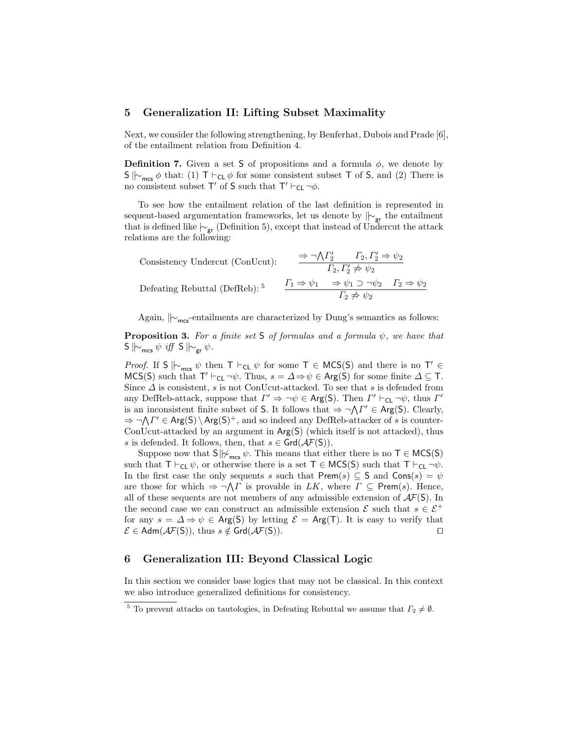#### 5 Generalization II: Lifting Subset Maximality

Next, we consider the following strengthening, by Benferhat, Dubois and Prade [6], of the entailment relation from Definition 4.

**Definition 7.** Given a set S of propositions and a formula  $\phi$ , we denote by S  $\vert\vert_{\mathcal{C}_{\text{mcs}}}$   $\phi$  that: (1) T  $\vert\vert_{\mathsf{CL}}$   $\phi$  for some consistent subset T of S, and (2) There is no consistent subset  $T'$  of S such that  $T' \vdash_{CL} \neg \phi$ .

To see how the entailment relation of the last definition is represented in sequent-based argumentation frameworks, let us denote by  $|\sim_{gr}$  the entailment that is defined like  $\vdash_{gr}$  (Definition 5), except that instead of Undercut the attack relations are the following:

Consistency Undercut (ConUcut):  
\n
$$
\frac{\Rightarrow \neg \bigwedge \Gamma_2' \qquad \Gamma_2, \Gamma_2' \Rightarrow \psi_2}{\Gamma_2, \Gamma_2' \neq \psi_2}
$$
\nDefeating Rebuttal (DefReb):<sup>5</sup>  
\n
$$
\frac{\Gamma_1 \Rightarrow \psi_1 \qquad \Rightarrow \psi_1 \supset \neg \psi_2 \qquad \Gamma_2 \Rightarrow \psi_2}{\Gamma_2 \neq \psi_2}
$$

Again,  $\| \sim_{\text{mes}}$ -entailments are characterized by Dung's semantics as follows:

**Proposition 3.** For a finite set S of formulas and a formula  $\psi$ , we have that  $S \Vdash_{\text{mcs}} \psi \text{ iff } S \Vdash_{\text{gr}} \psi.$ 

*Proof.* If S  $\Vdash_{\mathsf{mcs}} \psi$  then  $\top \vdash_{\mathsf{CL}} \psi$  for some  $\top \in \mathsf{MCS}(\mathsf{S})$  and there is no  $\top' \in$ MCS(S) such that  $\mathsf{T}' \vdash_{\mathsf{CL}} \neg \psi$ . Thus,  $s = \Delta \Rightarrow \psi \in \mathsf{Arg}(\mathsf{S})$  for some finite  $\Delta \subseteq \mathsf{T}$ . Since  $\Delta$  is consistent, s is not ConUcut-attacked. To see that s is defended from any DefReb-attack, suppose that  $\Gamma' \Rightarrow \neg \psi \in \text{Arg}(S)$ . Then  $\Gamma' \vdash_{\text{CL}} \neg \psi$ , thus  $\Gamma'$ is an inconsistent finite subset of S. It follows that  $\Rightarrow \neg \Lambda \Gamma' \in \text{Arg}(S)$ . Clearly,  $\Rightarrow \neg \Lambda \Gamma' \in \text{Arg}(S) \setminus \text{Arg}(S)^{+}$ , and so indeed any DefReb-attacker of s is counter-ConUcut-attacked by an argument in  $Arg(S)$  (which itself is not attacked), thus s is defended. It follows, then, that  $s \in \text{Grd}(\mathcal{AF}(S)).$ 

Suppose now that  $S||\psi_{\text{mes}} \psi$ . This means that either there is no  $T \in \text{MCS}(S)$ such that  $T \vdash_{CL} \psi$ , or otherwise there is a set  $T \in \text{MCS}(S)$  such that  $T \vdash_{CL} \neg \psi$ . In the first case the only sequents s such that  $\mathsf{Prem}(s) \subseteq \mathsf{S}$  and  $\mathsf{Cons}(s) = \psi$ are those for which  $\Rightarrow \neg \Lambda \Gamma$  is provable in LK, where  $\Gamma \subseteq \text{Prem}(s)$ . Hence, all of these sequents are not members of any admissible extension of  $\mathcal{A}F(S)$ . In the second case we can construct an admissible extension  $\mathcal E$  such that  $s \in \mathcal E^+$ for any  $s = \Delta \Rightarrow \psi \in \text{Arg}(S)$  by letting  $\mathcal{E} = \text{Arg}(T)$ . It is easy to verify that  $\mathcal{E} \in \mathsf{Adm}(\mathcal{AF}(\mathsf{S})), \text{ thus } s \notin \mathsf{Grd}(\mathcal{AF}(\mathsf{S})).$ 

#### 6 Generalization III: Beyond Classical Logic

In this section we consider base logics that may not be classical. In this context we also introduce generalized definitions for consistency.

<sup>&</sup>lt;sup>5</sup> To prevent attacks on tautologies, in Defeating Rebuttal we assume that  $\Gamma_2 \neq \emptyset$ .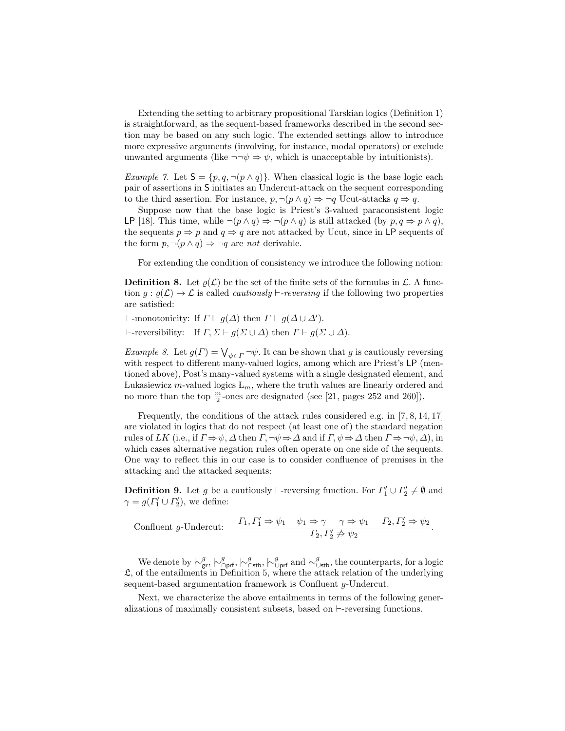Extending the setting to arbitrary propositional Tarskian logics (Definition 1) is straightforward, as the sequent-based frameworks described in the second section may be based on any such logic. The extended settings allow to introduce more expressive arguments (involving, for instance, modal operators) or exclude unwanted arguments (like  $\neg\neg\psi \Rightarrow \psi$ , which is unacceptable by intuitionists).

Example 7. Let  $S = \{p, q, \neg(p \wedge q)\}\$ . When classical logic is the base logic each pair of assertions in S initiates an Undercut-attack on the sequent corresponding to the third assertion. For instance,  $p, \neg(p \land q) \Rightarrow \neg q$  Ucut-attacks  $q \Rightarrow q$ .

Suppose now that the base logic is Priest's 3-valued paraconsistent logic LP [18]. This time, while  $\neg(p \land q) \Rightarrow \neg(p \land q)$  is still attacked (by  $p, q \Rightarrow p \land q$ ), the sequents  $p \Rightarrow p$  and  $q \Rightarrow q$  are not attacked by Ucut, since in LP sequents of the form  $p, \neg(p \land q) \Rightarrow \neg q$  are not derivable.

For extending the condition of consistency we introduce the following notion:

**Definition 8.** Let  $\rho(\mathcal{L})$  be the set of the finite sets of the formulas in  $\mathcal{L}$ . A function  $g : \rho(\mathcal{L}) \to \mathcal{L}$  is called *cautiously*  $\vdash$ *-reversing* if the following two properties are satisfied:

 $\vdash$ -monotonicity: If  $\Gamma \vdash g(\Delta)$  then  $\Gamma \vdash g(\Delta \cup \Delta').$  $\vdash$ -reversibility: If  $\Gamma, \Sigma \vdash g(\Sigma \cup \Delta)$  then  $\Gamma \vdash g(\Sigma \cup \Delta)$ .

Example 8. Let  $g(\Gamma) = \bigvee_{\psi \in \Gamma} \neg \psi$ . It can be shown that g is cautiously reversing with respect to different many-valued logics, among which are Priest's LP (mentioned above), Post's many-valued systems with a single designated element, and Lukasiewicz m-valued logics  $L_m$ , where the truth values are linearly ordered and no more than the top  $\frac{m}{2}$ -ones are designated (see [21, pages 252 and 260]).

Frequently, the conditions of the attack rules considered e.g. in [7, 8, 14, 17] are violated in logics that do not respect (at least one of) the standard negation rules of LK (i.e., if  $\Gamma \Rightarrow \psi, \Delta$  then  $\Gamma, \neg \psi \Rightarrow \Delta$  and if  $\Gamma, \psi \Rightarrow \Delta$  then  $\Gamma \Rightarrow \neg \psi, \Delta$ ), in which cases alternative negation rules often operate on one side of the sequents. One way to reflect this in our case is to consider confluence of premises in the attacking and the attacked sequents:

**Definition 9.** Let g be a cautiously  $\vdash$ -reversing function. For  $\Gamma'_1 \cup \Gamma'_2 \neq \emptyset$  and  $\gamma = g(\Gamma'_1 \cup \Gamma'_2)$ , we define:

$$
\text{Confluent } g\text{-Undercut:}\qquad \frac{\Gamma_1, \Gamma'_1 \Rightarrow \psi_1 \quad \psi_1 \Rightarrow \gamma \quad \gamma \Rightarrow \psi_1 \quad \Gamma_2, \Gamma'_2 \Rightarrow \psi_2}{\Gamma_2, \Gamma'_2 \not\Rightarrow \psi_2}.
$$

We denote by  $\big| \sim_{\text{gr}}^g, \big| \sim_{\text{Opf}}^g, \big| \sim_{\text{Obf}}^g$  and  $\big| \sim_{\text{Ustb}}^g$ , the counterparts, for a logic  $\mathfrak{L}$ , of the entailments in Definition 5, where the attack relation of the underlying sequent-based argumentation framework is Confluent g-Undercut.

Next, we characterize the above entailments in terms of the following generalizations of maximally consistent subsets, based on  $\vdash$ -reversing functions.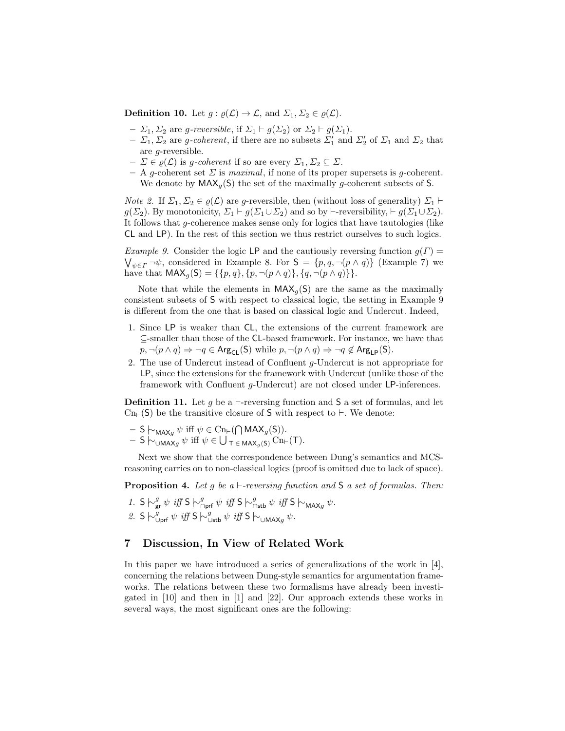**Definition 10.** Let  $g : \varrho(\mathcal{L}) \to \mathcal{L}$ , and  $\Sigma_1, \Sigma_2 \in \varrho(\mathcal{L})$ .

- $\Sigma_1$ ,  $\Sigma_2$  are g-reversible, if  $\Sigma_1 \vdash g(\Sigma_2)$  or  $\Sigma_2 \vdash g(\Sigma_1)$ .
- $\Sigma_1$ ,  $\Sigma_2$  are *g-coherent*, if there are no subsets  $\Sigma'_1$  and  $\Sigma'_2$  of  $\Sigma_1$  and  $\Sigma_2$  that are g-reversible.
- $-\Sigma \in \varrho(\mathcal{L})$  is g-coherent if so are every  $\Sigma_1, \Sigma_2 \subseteq \Sigma$ .
- A g-coherent set  $\Sigma$  is maximal, if none of its proper supersets is g-coherent. We denote by  $MAX_{q}(S)$  the set of the maximally g-coherent subsets of S.

*Note 2.* If  $\Sigma_1, \Sigma_2 \in \varrho(\mathcal{L})$  are g-reversible, then (without loss of generality)  $\Sigma_1 \vdash$  $g(\Sigma_2)$ . By monotonicity,  $\Sigma_1 \vdash g(\Sigma_1 \cup \Sigma_2)$  and so by  $\vdash$ -reversibility,  $\vdash g(\Sigma_1 \cup \Sigma_2)$ . It follows that g-coherence makes sense only for logics that have tautologies (like CL and LP). In the rest of this section we thus restrict ourselves to such logics.

Example 9. Consider the logic LP and the cautiously reversing function  $g(\Gamma)$  =  $\bigvee_{\psi \in \Gamma} \neg \psi$ , considered in Example 8. For  $S = \{p, q, \neg (p \land q)\}\$  (Example 7) we have that  $MAX_q(S) = \{\{p, q\}, \{p, \neg(p \land q)\}, \{q, \neg(p \land q)\}\}.$ 

Note that while the elements in  $MAX_q(S)$  are the same as the maximally consistent subsets of S with respect to classical logic, the setting in Example 9 is different from the one that is based on classical logic and Undercut. Indeed,

- 1. Since LP is weaker than CL, the extensions of the current framework are ⊆-smaller than those of the CL-based framework. For instance, we have that  $p, \neg(p \land q) \Rightarrow \neg q \in \text{Arg}_{\text{CL}}(\mathsf{S})$  while  $p, \neg(p \land q) \Rightarrow \neg q \notin \text{Arg}_{\text{LP}}(\mathsf{S})$ .
- 2. The use of Undercut instead of Confluent g-Undercut is not appropriate for LP, since the extensions for the framework with Undercut (unlike those of the framework with Confluent g-Undercut) are not closed under LP-inferences.

**Definition 11.** Let q be a  $\vdash$ -reversing function and S a set of formulas, and let  $\text{Cn}_{\text{F}}(S)$  be the transitive closure of S with respect to  $\vdash$ . We denote:

- $-$  S  $\vdash_{\mathsf{MAX}_g} \psi$  iff  $\psi \in \mathrm{Cn}_{\vdash}(\bigcap \mathsf{MAX}_g(\mathsf{S})).$
- $-$  S  $\vdash_{\cup \text{MAX}_g} \psi$  iff  $\psi \in \bigcup_{\tau \in \text{MAX}_g(S)} \text{Cn}_{\vdash}(\tau)$ .

Next we show that the correspondence between Dung's semantics and MCSreasoning carries on to non-classical logics (proof is omitted due to lack of space).

**Proposition 4.** Let g be a  $\vdash$ -reversing function and S a set of formulas. Then:

1. S  $\sim_{\text{gr}}^g \psi$  iff S  $\sim_{\text{Opt}}^g \psi$  iff S  $\sim_{\text{Stb}}^g \psi$  iff S  $\sim_{\text{MAX}_g} \psi$ . 2. S  $\sim_{\text{Uprf}}^g \psi$  iff S  $\sim_{\text{Ustb}}^g \psi$  iff S  $\sim_{\text{UMAX}_g} \psi$ .

### 7 Discussion, In View of Related Work

In this paper we have introduced a series of generalizations of the work in  $[4]$ , concerning the relations between Dung-style semantics for argumentation frameworks. The relations between these two formalisms have already been investigated in [10] and then in [1] and [22]. Our approach extends these works in several ways, the most significant ones are the following: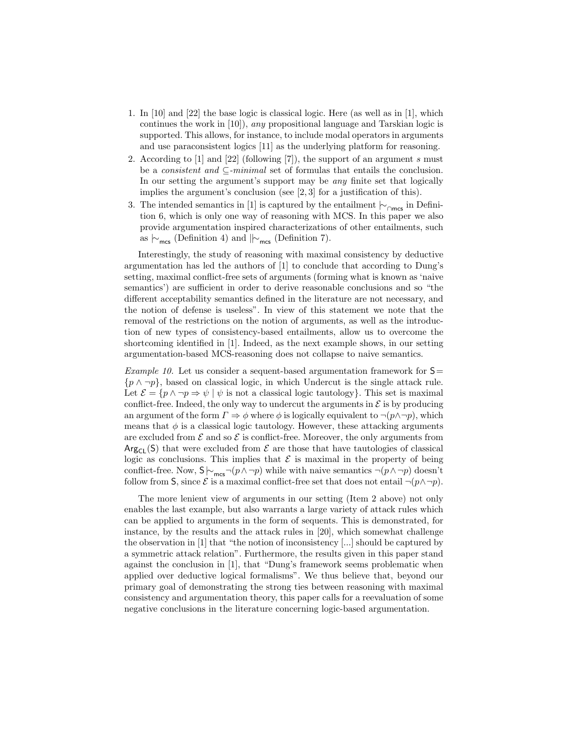- 1. In [10] and [22] the base logic is classical logic. Here (as well as in [1], which continues the work in [10]), any propositional language and Tarskian logic is supported. This allows, for instance, to include modal operators in arguments and use paraconsistent logics [11] as the underlying platform for reasoning.
- 2. According to  $[1]$  and  $[22]$  (following  $[7]$ ), the support of an argument s must be a *consistent and*  $\subseteq$ -minimal set of formulas that entails the conclusion. In our setting the argument's support may be any finite set that logically implies the argument's conclusion (see  $[2,3]$  for a justification of this).
- 3. The intended semantics in [1] is captured by the entailment  $\vdash_{\cap \mathsf{mcs}}$  in Definition 6, which is only one way of reasoning with MCS. In this paper we also provide argumentation inspired characterizations of other entailments, such as  $\vdash_{\mathsf{mcs}}$  (Definition 4) and  $\Vert_{\vdash_{\mathsf{mcs}}}$  (Definition 7).

Interestingly, the study of reasoning with maximal consistency by deductive argumentation has led the authors of [1] to conclude that according to Dung's setting, maximal conflict-free sets of arguments (forming what is known as 'naive semantics') are sufficient in order to derive reasonable conclusions and so "the different acceptability semantics defined in the literature are not necessary, and the notion of defense is useless". In view of this statement we note that the removal of the restrictions on the notion of arguments, as well as the introduction of new types of consistency-based entailments, allow us to overcome the shortcoming identified in [1]. Indeed, as the next example shows, in our setting argumentation-based MCS-reasoning does not collapse to naive semantics.

*Example 10.* Let us consider a sequent-based argumentation framework for  $S=$  $\{p \wedge \neg p\}$ , based on classical logic, in which Undercut is the single attack rule. Let  $\mathcal{E} = \{p \land \neg p \Rightarrow \psi \mid \psi \text{ is not a classical logic tautology}\}.$  This set is maximal conflict-free. Indeed, the only way to undercut the arguments in  $\mathcal E$  is by producing an argument of the form  $\Gamma \Rightarrow \phi$  where  $\phi$  is logically equivalent to  $\neg(p \land \neg p)$ , which means that  $\phi$  is a classical logic tautology. However, these attacking arguments are excluded from  $\mathcal E$  and so  $\mathcal E$  is conflict-free. Moreover, the only arguments from  $Arg_{Cl}(S)$  that were excluded from  $\mathcal E$  are those that have tautologies of classical logic as conclusions. This implies that  $\mathcal E$  is maximal in the property of being conflict-free. Now,  $S\sim_{\text{mes}} \neg(p \land \neg p)$  while with naive semantics  $\neg(p \land \neg p)$  doesn't follow from S, since  $\mathcal E$  is a maximal conflict-free set that does not entail  $\neg (p \land \neg p)$ .

The more lenient view of arguments in our setting (Item 2 above) not only enables the last example, but also warrants a large variety of attack rules which can be applied to arguments in the form of sequents. This is demonstrated, for instance, by the results and the attack rules in [20], which somewhat challenge the observation in [1] that "the notion of inconsistency [...] should be captured by a symmetric attack relation". Furthermore, the results given in this paper stand against the conclusion in [1], that "Dung's framework seems problematic when applied over deductive logical formalisms". We thus believe that, beyond our primary goal of demonstrating the strong ties between reasoning with maximal consistency and argumentation theory, this paper calls for a reevaluation of some negative conclusions in the literature concerning logic-based argumentation.